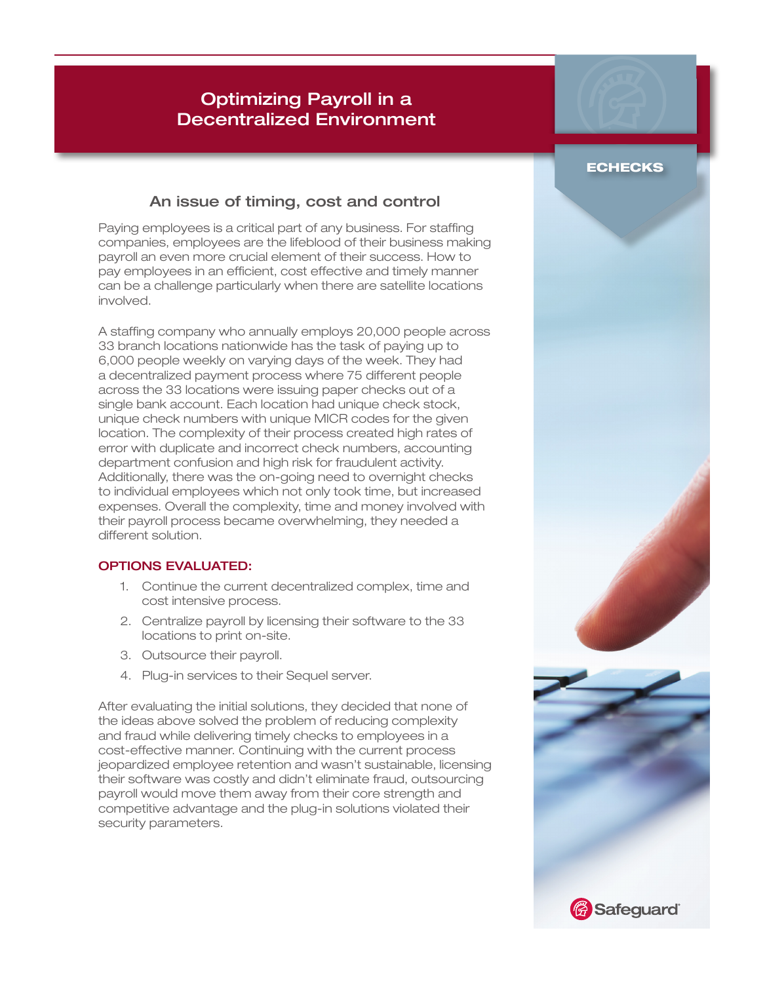# Optimizing Payroll in a Decentralized Environment

### An issue of timing, cost and control

Paying employees is a critical part of any business. For staffing companies, employees are the lifeblood of their business making payroll an even more crucial element of their success. How to pay employees in an efficient, cost effective and timely manner can be a challenge particularly when there are satellite locations involved.

A staffng company who annually employs 20,000 people across 33 branch locations nationwide has the task of paying up to 6,000 people weekly on varying days of the week. They had a decentralized payment process where 75 different people across the 33 locations were issuing paper checks out of a single bank account. Each location had unique check stock, unique check numbers with unique MICR codes for the given location. The complexity of their process created high rates of error with duplicate and incorrect check numbers, accounting department confusion and high risk for fraudulent activity. Additionally, there was the on-going need to overnight checks to individual employees which not only took time, but increased expenses. Overall the complexity, time and money involved with their payroll process became overwhelming, they needed a different solution.

### OPTIONS EVALUATED:

- 1. Continue the current decentralized complex, time and cost intensive process.
- 2. Centralize payroll by licensing their software to the 33 locations to print on-site.
- 3. Outsource their payroll.
- 4. Plug-in services to their Sequel server.

After evaluating the initial solutions, they decided that none of the ideas above solved the problem of reducing complexity and fraud while delivering timely checks to employees in a cost-effective manner. Continuing with the current process jeopardized employee retention and wasn't sustainable, licensing their software was costly and didn't eliminate fraud, outsourcing payroll would move them away from their core strength and competitive advantage and the plug-in solutions violated their security parameters.

## **ECHECKS**